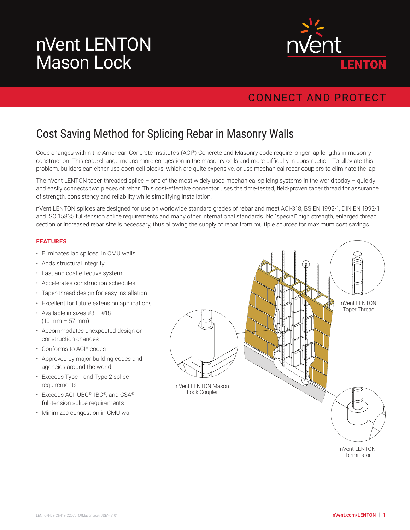# nVent LENTON Mason Lock



### **CONNECT AND PROTECT**

## Cost Saving Method for Splicing Rebar in Masonry Walls

Code changes within the American Concrete Institute's (ACI®) Concrete and Masonry code require longer lap lengths in masonry construction. This code change means more congestion in the masonry cells and more difficulty in construction. To alleviate this problem, builders can either use open-cell blocks, which are quite expensive, or use mechanical rebar couplers to eliminate the lap.

The nVent LENTON taper-threaded splice – one of the most widely used mechanical splicing systems in the world today – quickly and easily connects two pieces of rebar. This cost-effective connector uses the time-tested, field-proven taper thread for assurance of strength, consistency and reliability while simplifying installation.

nVent LENTON splices are designed for use on worldwide standard grades of rebar and meet ACI-318, BS EN 1992-1, DIN EN 1992-1 and ISO 15835 full-tension splice requirements and many other international standards. No "special" high strength, enlarged thread section or increased rebar size is necessary, thus allowing the supply of rebar from multiple sources for maximum cost savings.

### **FEATURES**

- Eliminates lap splices in CMU walls
- Adds structural integrity
- Fast and cost effective system
- Accelerates construction schedules
- Taper-thread design for easy installation
- Excellent for future extension applications
- Available in sizes  $#3 #18$  $(10 \, \text{mm} - 57 \, \text{mm})$
- Accommodates unexpected design or construction changes
- Conforms to ACI® codes
- Approved by major building codes and agencies around the world
- Exceeds Type 1 and Type 2 splice requirements
- Exceeds ACI, UBC®, IBC®, and CSA® full-tension splice requirements
- Minimizes congestion in CMU wall



nVent LENTON **Terminator**